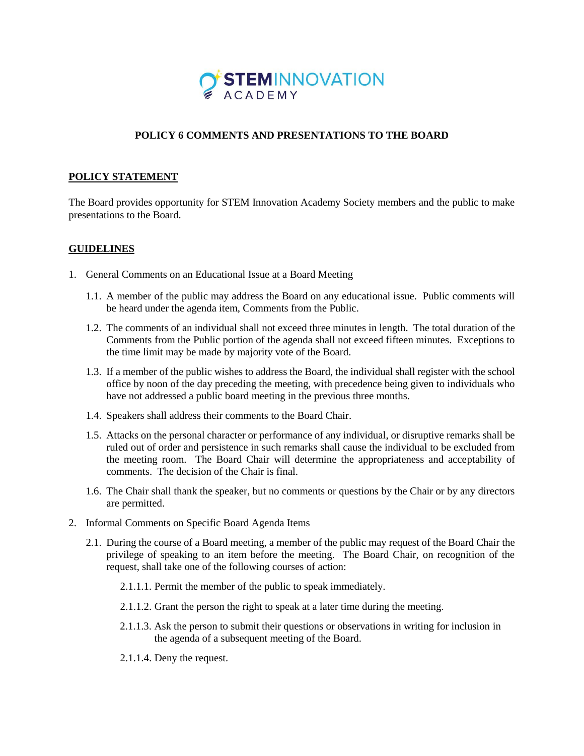

## **POLICY 6 COMMENTS AND PRESENTATIONS TO THE BOARD**

## **POLICY STATEMENT**

The Board provides opportunity for STEM Innovation Academy Society members and the public to make presentations to the Board.

## **GUIDELINES**

- 1. General Comments on an Educational Issue at a Board Meeting
	- 1.1. A member of the public may address the Board on any educational issue. Public comments will be heard under the agenda item, Comments from the Public.
	- 1.2. The comments of an individual shall not exceed three minutes in length. The total duration of the Comments from the Public portion of the agenda shall not exceed fifteen minutes. Exceptions to the time limit may be made by majority vote of the Board.
	- 1.3. If a member of the public wishes to address the Board, the individual shall register with the school office by noon of the day preceding the meeting, with precedence being given to individuals who have not addressed a public board meeting in the previous three months.
	- 1.4. Speakers shall address their comments to the Board Chair.
	- 1.5. Attacks on the personal character or performance of any individual, or disruptive remarks shall be ruled out of order and persistence in such remarks shall cause the individual to be excluded from the meeting room. The Board Chair will determine the appropriateness and acceptability of comments. The decision of the Chair is final.
	- 1.6. The Chair shall thank the speaker, but no comments or questions by the Chair or by any directors are permitted.
- 2. Informal Comments on Specific Board Agenda Items
	- 2.1. During the course of a Board meeting, a member of the public may request of the Board Chair the privilege of speaking to an item before the meeting. The Board Chair, on recognition of the request, shall take one of the following courses of action:
		- 2.1.1.1. Permit the member of the public to speak immediately.
		- 2.1.1.2. Grant the person the right to speak at a later time during the meeting.
		- 2.1.1.3. Ask the person to submit their questions or observations in writing for inclusion in the agenda of a subsequent meeting of the Board.
		- 2.1.1.4. Deny the request.